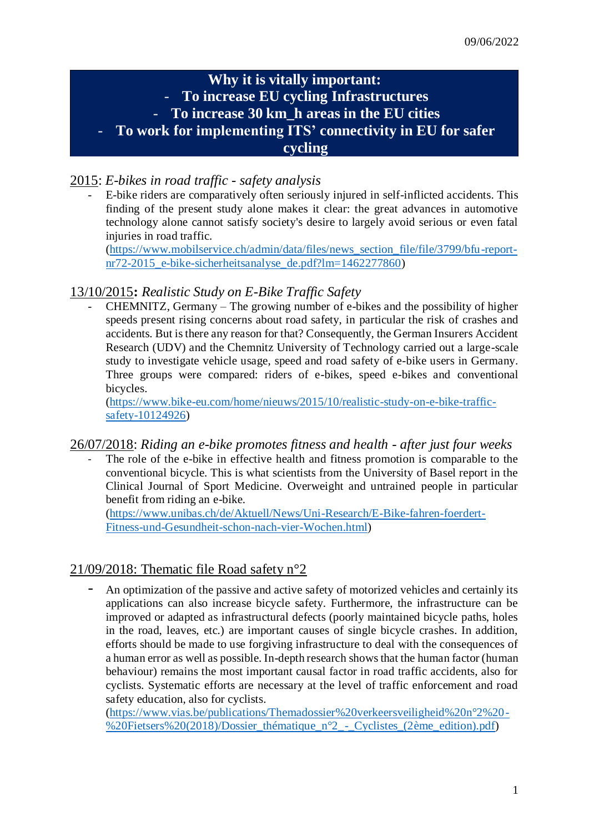# **Why it is vitally important:** - **To increase EU cycling Infrastructures** - **To increase 30 km\_h areas in the EU cities** - **To work for implementing ITS' connectivity in EU for safer**

# **cycling**

# 2015: *E-bikes in road traffic - safety analysis*

- E-bike riders are comparatively often seriously injured in self-inflicted accidents. This finding of the present study alone makes it clear: the great advances in automotive technology alone cannot satisfy society's desire to largely avoid serious or even fatal injuries in road traffic.

[\(https://www.mobilservice.ch/admin/data/files/news\\_section\\_file/file/3799/bfu-report](https://www.mobilservice.ch/admin/data/files/news_section_file/file/3799/bfu-report-nr72-2015_e-bike-sicherheitsanalyse_de.pdf?lm=1462277860)[nr72-2015\\_e-bike-sicherheitsanalyse\\_de.pdf?lm=1462277860\)](https://www.mobilservice.ch/admin/data/files/news_section_file/file/3799/bfu-report-nr72-2015_e-bike-sicherheitsanalyse_de.pdf?lm=1462277860)

#### 13/10/2015**:** *Realistic Study on E-Bike Traffic Safety*

- CHEMNITZ, Germany – The growing number of e-bikes and the possibility of higher speeds present rising concerns about road safety, in particular the risk of crashes and accidents. But is there any reason for that? Consequently, the German Insurers Accident Research (UDV) and the Chemnitz University of Technology carried out a large-scale study to investigate vehicle usage, speed and road safety of e-bike users in Germany. Three groups were compared: riders of e-bikes, speed e-bikes and conventional bicycles.

[\(https://www.bike-eu.com/home/nieuws/2015/10/realistic-study-on-e-bike-traffic](https://www.bike-eu.com/home/nieuws/2015/10/realistic-study-on-e-bike-traffic-safety-10124926)[safety-10124926\)](https://www.bike-eu.com/home/nieuws/2015/10/realistic-study-on-e-bike-traffic-safety-10124926)

#### 26/07/2018: *Riding an e-bike promotes fitness and health - after just four weeks*

The role of the e-bike in effective health and fitness promotion is comparable to the conventional bicycle. This is what scientists from the University of Basel report in the Clinical Journal of Sport Medicine. Overweight and untrained people in particular benefit from riding an e-bike.

[\(https://www.unibas.ch/de/Aktuell/News/Uni-Research/E-Bike-fahren-foerdert-](https://www.unibas.ch/de/Aktuell/News/Uni-Research/E-Bike-fahren-foerdert-Fitness-und-Gesundheit-schon-nach-vier-Wochen.html)[Fitness-und-Gesundheit-schon-nach-vier-Wochen.html\)](https://www.unibas.ch/de/Aktuell/News/Uni-Research/E-Bike-fahren-foerdert-Fitness-und-Gesundheit-schon-nach-vier-Wochen.html)

#### 21/09/2018: Thematic file Road safety n°2

- An optimization of the passive and active safety of motorized vehicles and certainly its applications can also increase bicycle safety. Furthermore, the infrastructure can be improved or adapted as infrastructural defects (poorly maintained bicycle paths, holes in the road, leaves, etc.) are important causes of single bicycle crashes. In addition, efforts should be made to use forgiving infrastructure to deal with the consequences of a human error as well as possible. In-depth research shows that the human factor (human behaviour) remains the most important causal factor in road traffic accidents, also for cyclists. Systematic efforts are necessary at the level of traffic enforcement and road safety education, also for cyclists.

[\(https://www.vias.be/publications/Themadossier%20verkeersveiligheid%20n°2%20-](https://www.vias.be/publications/Themadossier%20verkeersveiligheid%20n°2%20-%20Fietsers%20(2018)/Dossier_thématique_n°2_-_Cyclistes_(2ème_edition).pdf) [%20Fietsers%20\(2018\)/Dossier\\_thématique\\_n°2\\_-\\_Cyclistes\\_\(2ème\\_edition\).pdf\)](https://www.vias.be/publications/Themadossier%20verkeersveiligheid%20n°2%20-%20Fietsers%20(2018)/Dossier_thématique_n°2_-_Cyclistes_(2ème_edition).pdf)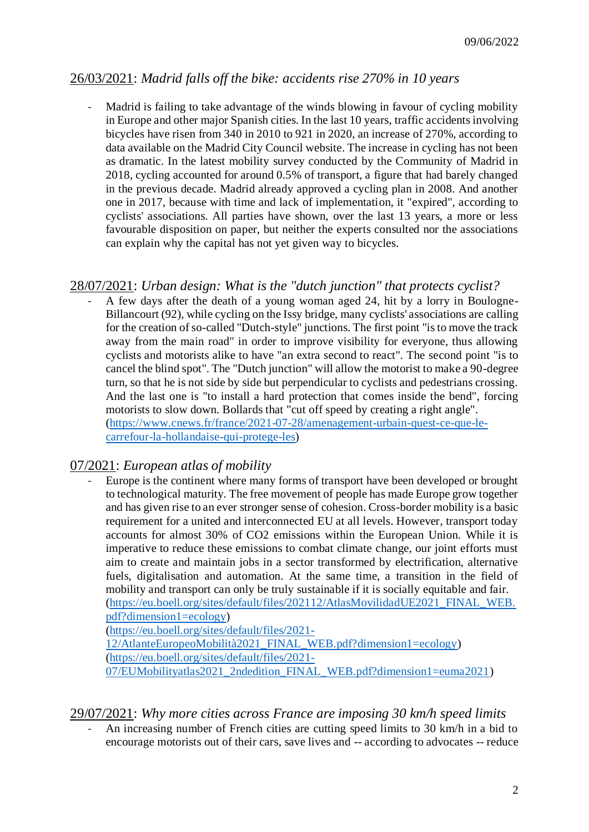# 26/03/2021: *Madrid falls off the bike: accidents rise 270% in 10 years*

Madrid is failing to take advantage of the winds blowing in favour of cycling mobility in Europe and other major Spanish cities. In the last 10 years, traffic accidents involving bicycles have risen from 340 in 2010 to 921 in 2020, an increase of 270%, according to data available on the Madrid City Council website. The increase in cycling has not been as dramatic. In the latest mobility survey conducted by the Community of Madrid in 2018, cycling accounted for around 0.5% of transport, a figure that had barely changed in the previous decade. Madrid already approved a cycling plan in 2008. And another one in 2017, because with time and lack of implementation, it "expired", according to cyclists' associations. All parties have shown, over the last 13 years, a more or less favourable disposition on paper, but neither the experts consulted nor the associations can explain why the capital has not yet given way to bicycles.

#### 28/07/2021: *Urban design: What is the "dutch junction" that protects cyclist?*

A few days after the death of a young woman aged 24, hit by a lorry in Boulogne-Billancourt (92), while cycling on the Issy bridge, many cyclists' associations are calling for the creation of so-called "Dutch-style" junctions. The first point "is to move the track away from the main road" in order to improve visibility for everyone, thus allowing cyclists and motorists alike to have "an extra second to react". The second point "is to cancel the blind spot". The "Dutch junction" will allow the motorist to make a 90-degree turn, so that he is not side by side but perpendicular to cyclists and pedestrians crossing. And the last one is "to install a hard protection that comes inside the bend", forcing motorists to slow down. Bollards that "cut off speed by creating a right angle". [\(https://www.cnews.fr/france/2021-07-28/amenagement-urbain-quest-ce-que-le](https://www.cnews.fr/france/2021-07-28/amenagement-urbain-quest-ce-que-le-carrefour-la-hollandaise-qui-protege-les)[carrefour-la-hollandaise-qui-protege-les\)](https://www.cnews.fr/france/2021-07-28/amenagement-urbain-quest-ce-que-le-carrefour-la-hollandaise-qui-protege-les)

#### 07/2021: *European atlas of mobility*

Europe is the continent where many forms of transport have been developed or brought to technological maturity. The free movement of people has made Europe grow together and has given rise to an ever stronger sense of cohesion. Cross-border mobility is a basic requirement for a united and interconnected EU at all levels. However, transport today accounts for almost 30% of CO2 emissions within the European Union. While it is imperative to reduce these emissions to combat climate change, our joint efforts must aim to create and maintain jobs in a sector transformed by electrification, alternative fuels, digitalisation and automation. At the same time, a transition in the field of mobility and transport can only be truly sustainable if it is socially equitable and fair. [\(https://eu.boell.org/sites/default/files/202112/AtlasMovilidadUE2021\\_FINAL\\_WEB.](https://eu.boell.org/sites/default/files/202112/AtlasMovilidadUE2021_FINAL_WEB.pdf?dimension1=ecology) [pdf?dimension1=ecology\)](https://eu.boell.org/sites/default/files/202112/AtlasMovilidadUE2021_FINAL_WEB.pdf?dimension1=ecology) [\(https://eu.boell.org/sites/default/files/2021-](https://eu.boell.org/sites/default/files/2021-12/AtlanteEuropeoMobilità2021_FINAL_WEB.pdf?dimension1=ecology) [12/AtlanteEuropeoMobilità2021\\_FINAL\\_WEB.pdf?dimension1=ecology\)](https://eu.boell.org/sites/default/files/2021-12/AtlanteEuropeoMobilità2021_FINAL_WEB.pdf?dimension1=ecology)

[\(https://eu.boell.org/sites/default/files/2021-](https://eu.boell.org/sites/default/files/2021-07/EUMobilityatlas2021_2ndedition_FINAL_WEB.pdf?dimension1=euma2021) [07/EUMobilityatlas2021\\_2ndedition\\_FINAL\\_WEB.pdf?dimension1=euma2021\)](https://eu.boell.org/sites/default/files/2021-07/EUMobilityatlas2021_2ndedition_FINAL_WEB.pdf?dimension1=euma2021)

#### 29/07/2021: *Why more cities across France are imposing 30 km/h speed limits*

An increasing number of French cities are cutting speed limits to 30 km/h in a bid to encourage motorists out of their cars, save lives and -- according to advocates -- reduce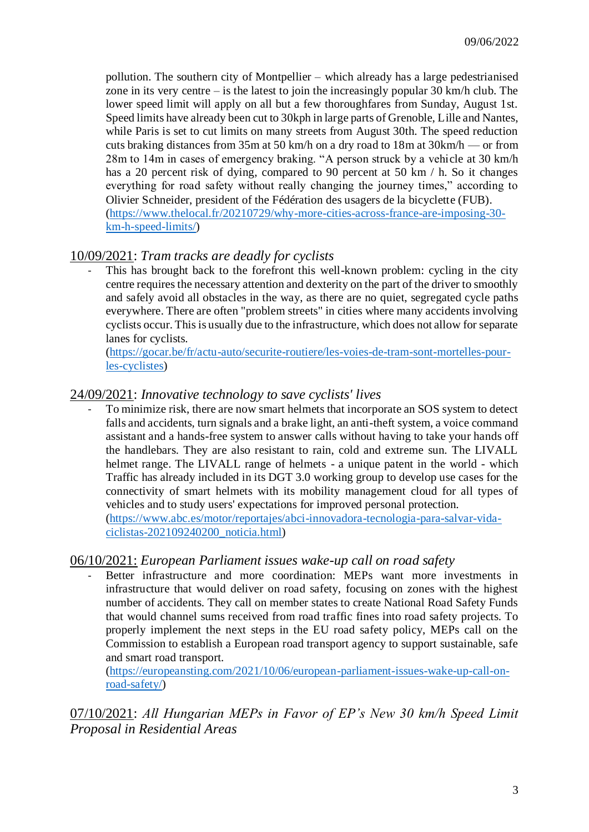pollution. The southern city of Montpellier – which already has a large pedestrianised zone in its very centre – is the latest to join the increasingly popular 30 km/h club. The lower speed limit will apply on all but a few thoroughfares from Sunday, August 1st. Speed limits have already been cut to 30kph in large parts of Grenoble, Lille and Nantes, while Paris is set to cut limits on many streets from August 30th. The speed reduction cuts braking distances from 35m at 50 km/h on a dry road to 18m at 30km/h — or from 28m to 14m in cases of emergency braking. "A person struck by a vehicle at 30 km/h has a 20 percent risk of dying, compared to 90 percent at 50 km / h. So it changes everything for road safety without really changing the journey times," according to Olivier Schneider, president of the Fédération des usagers de la bicyclette (FUB). [\(https://www.thelocal.fr/20210729/why-more-cities-across-france-are-imposing-30](https://www.thelocal.fr/20210729/why-more-cities-across-france-are-imposing-30-km-h-speed-limits/) [km-h-speed-limits/\)](https://www.thelocal.fr/20210729/why-more-cities-across-france-are-imposing-30-km-h-speed-limits/)

# 10/09/2021: *Tram tracks are deadly for cyclists*

This has brought back to the forefront this well-known problem: cycling in the city centre requires the necessary attention and dexterity on the part of the driver to smoothly and safely avoid all obstacles in the way, as there are no quiet, segregated cycle paths everywhere. There are often "problem streets" in cities where many accidents involving cyclists occur. This is usually due to the infrastructure, which does not allow for separate lanes for cyclists.

[\(https://gocar.be/fr/actu-auto/securite-routiere/les-voies-de-tram-sont-mortelles-pour](https://gocar.be/fr/actu-auto/securite-routiere/les-voies-de-tram-sont-mortelles-pour-les-cyclistes)[les-cyclistes\)](https://gocar.be/fr/actu-auto/securite-routiere/les-voies-de-tram-sont-mortelles-pour-les-cyclistes)

#### 24/09/2021: *Innovative technology to save cyclists' lives*

To minimize risk, there are now smart helmets that incorporate an SOS system to detect falls and accidents, turn signals and a brake light, an anti-theft system, a voice command assistant and a hands-free system to answer calls without having to take your hands off the handlebars. They are also resistant to rain, cold and extreme sun. The LIVALL helmet range. The LIVALL range of helmets - a unique patent in the world - which Traffic has already included in its DGT 3.0 working group to develop use cases for the connectivity of smart helmets with its mobility management cloud for all types of vehicles and to study users' expectations for improved personal protection. [\(https://www.abc.es/motor/reportajes/abci-innovadora-tecnologia-para-salvar-vida-](https://www.abc.es/motor/reportajes/abci-innovadora-tecnologia-para-salvar-vida-ciclistas-202109240200_noticia.html)

[ciclistas-202109240200\\_noticia.html\)](https://www.abc.es/motor/reportajes/abci-innovadora-tecnologia-para-salvar-vida-ciclistas-202109240200_noticia.html)

#### 06/10/2021: *European Parliament issues wake-up call on road safety*

Better infrastructure and more coordination: MEPs want more investments in infrastructure that would deliver on road safety, focusing on zones with the highest number of accidents. They call on member states to create National Road Safety Funds that would channel sums received from road traffic fines into road safety projects. To properly implement the next steps in the EU road safety policy, MEPs call on the Commission to establish a European road transport agency to support sustainable, safe and smart road transport.

[\(https://europeansting.com/2021/10/06/european-parliament-issues-wake-up-call-on](https://europeansting.com/2021/10/06/european-parliament-issues-wake-up-call-on-road-safety/)[road-safety/\)](https://europeansting.com/2021/10/06/european-parliament-issues-wake-up-call-on-road-safety/)

07/10/2021: *All Hungarian MEPs in Favor of EP's New 30 km/h Speed Limit Proposal in Residential Areas*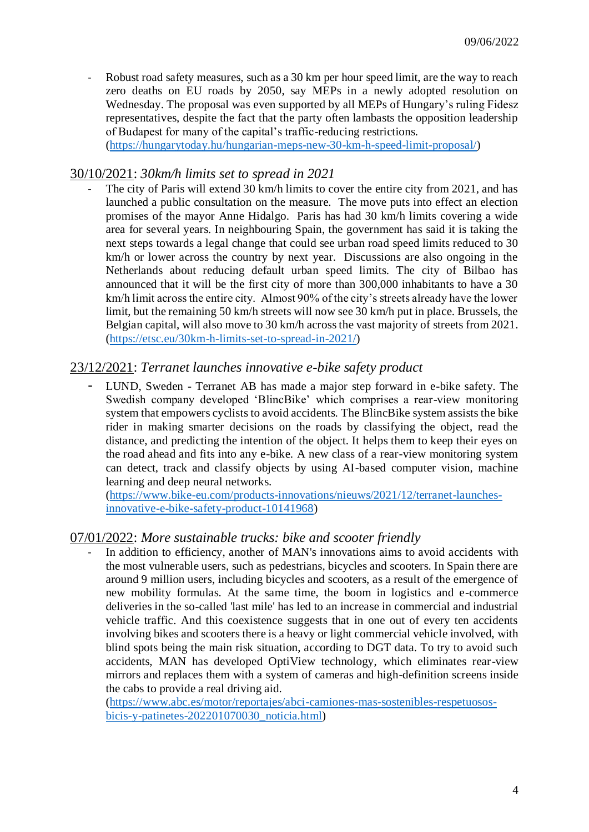Robust road safety measures, such as a 30 km per hour speed limit, are the way to reach zero deaths on EU roads by 2050, say MEPs in a newly adopted resolution on Wednesday. The proposal was even supported by all MEPs of Hungary's ruling Fidesz representatives, despite the fact that the party often lambasts the opposition leadership of Budapest for many of the capital's traffic-reducing restrictions.

[\(https://hungarytoday.hu/hungarian-meps-new-30-km-h-speed-limit-proposal/\)](https://hungarytoday.hu/hungarian-meps-new-30-km-h-speed-limit-proposal/)

#### 30/10/2021: *30km/h limits set to spread in 2021*

The city of Paris will extend 30 km/h limits to cover the entire city from 2021, and has launched a public consultation on the measure. The move puts into effect an election promises of the mayor Anne Hidalgo. Paris has had 30 km/h limits covering a wide area for several years. In neighbouring Spain, the government has said it is taking the next steps towards a legal change that could see urban road speed limits reduced to 30 km/h or lower across the country by next year. Discussions are also ongoing in the Netherlands about reducing default urban speed limits. The city of Bilbao has announced that it will be the first city of more than 300,000 inhabitants to have a 30 km/h limit across the entire city. Almost 90% of the city's streets already have the lower limit, but the remaining 50 km/h streets will now see 30 km/h put in place. Brussels, the Belgian capital, will also move to 30 km/h across the vast majority of streets from 2021. [\(https://etsc.eu/30km-h-limits-set-to-spread-in-2021/\)](https://etsc.eu/30km-h-limits-set-to-spread-in-2021/)

#### 23/12/2021: *Terranet launches innovative e-bike safety product*

LUND, Sweden - Terranet AB has made a major step forward in e-bike safety. The Swedish company developed 'BlincBike' which comprises a rear-view monitoring system that empowers cyclists to avoid accidents. The BlincBike system assists the bike rider in making smarter decisions on the roads by classifying the object, read the distance, and predicting the intention of the object. It helps them to keep their eyes on the road ahead and fits into any e-bike. A new class of a rear-view monitoring system can detect, track and classify objects by using AI-based computer vision, machine learning and deep neural networks.

[\(https://www.bike-eu.com/products-innovations/nieuws/2021/12/terranet-launches](https://www.bike-eu.com/products-innovations/nieuws/2021/12/terranet-launches-innovative-e-bike-safety-product-10141968)[innovative-e-bike-safety-product-10141968\)](https://www.bike-eu.com/products-innovations/nieuws/2021/12/terranet-launches-innovative-e-bike-safety-product-10141968)

#### 07/01/2022: *More sustainable trucks: bike and scooter friendly*

In addition to efficiency, another of MAN's innovations aims to avoid accidents with the most vulnerable users, such as pedestrians, bicycles and scooters. In Spain there are around 9 million users, including bicycles and scooters, as a result of the emergence of new mobility formulas. At the same time, the boom in logistics and e-commerce deliveries in the so-called 'last mile' has led to an increase in commercial and industrial vehicle traffic. And this coexistence suggests that in one out of every ten accidents involving bikes and scooters there is a heavy or light commercial vehicle involved, with blind spots being the main risk situation, according to DGT data. To try to avoid such accidents, MAN has developed OptiView technology, which eliminates rear-view mirrors and replaces them with a system of cameras and high-definition screens inside the cabs to provide a real driving aid.

[\(https://www.abc.es/motor/reportajes/abci-camiones-mas-sostenibles-respetuosos](https://www.abc.es/motor/reportajes/abci-camiones-mas-sostenibles-respetuosos-bicis-y-patinetes-202201070030_noticia.html)[bicis-y-patinetes-202201070030\\_noticia.html\)](https://www.abc.es/motor/reportajes/abci-camiones-mas-sostenibles-respetuosos-bicis-y-patinetes-202201070030_noticia.html)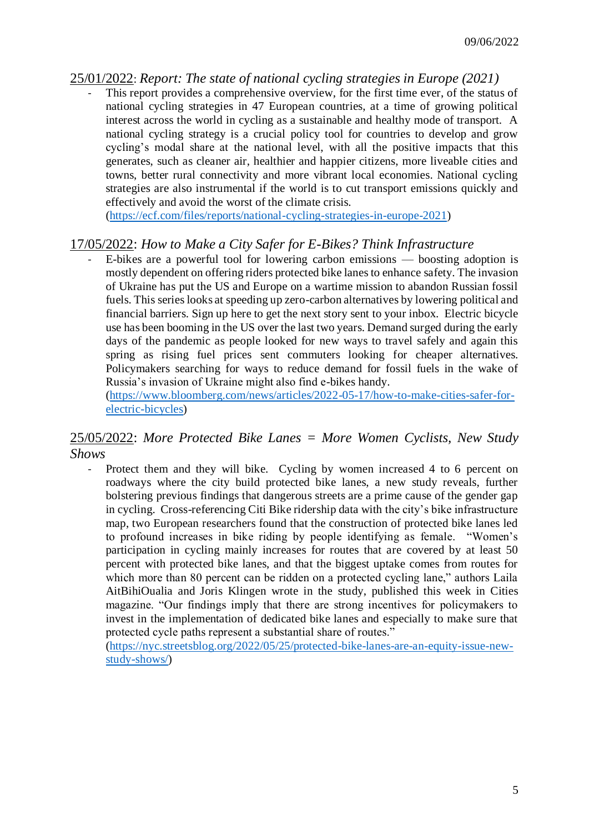#### 25/01/2022: *Report: The state of national cycling strategies in Europe (2021)*

This report provides a comprehensive overview, for the first time ever, of the status of national cycling strategies in 47 European countries, at a time of growing political interest across the world in cycling as a sustainable and healthy mode of transport. A national cycling strategy is a crucial policy tool for countries to develop and grow cycling's modal share at the national level, with all the positive impacts that this generates, such as cleaner air, healthier and happier citizens, more liveable cities and towns, better rural connectivity and more vibrant local economies. National cycling strategies are also instrumental if the world is to cut transport emissions quickly and effectively and avoid the worst of the climate crisis.

[\(https://ecf.com/files/reports/national-cycling-strategies-in-europe-2021\)](https://ecf.com/files/reports/national-cycling-strategies-in-europe-2021)

# 17/05/2022: *How to Make a City Safer for E-Bikes? Think Infrastructure*

- E-bikes are a powerful tool for lowering carbon emissions — boosting adoption is mostly dependent on offering riders protected bike lanes to enhance safety. The invasion of Ukraine has put the US and Europe on a wartime mission to abandon Russian fossil fuels. This series looks at speeding up zero-carbon alternatives by lowering political and financial barriers. Sign up here to get the next story sent to your inbox. Electric bicycle use has been booming in the US over the last two years. Demand surged during the early days of the pandemic as people looked for new ways to travel safely and again this spring as rising fuel prices sent commuters looking for cheaper alternatives. Policymakers searching for ways to reduce demand for fossil fuels in the wake of Russia's invasion of Ukraine might also find e-bikes handy.

[\(https://www.bloomberg.com/news/articles/2022-05-17/how-to-make-cities-safer-for](https://www.bloomberg.com/news/articles/2022-05-17/how-to-make-cities-safer-for-electric-bicycles)[electric-bicycles\)](https://www.bloomberg.com/news/articles/2022-05-17/how-to-make-cities-safer-for-electric-bicycles)

#### 25/05/2022: *More Protected Bike Lanes = More Women Cyclists, New Study Shows*

- Protect them and they will bike. Cycling by women increased 4 to 6 percent on roadways where the city build protected bike lanes, a new study reveals, further bolstering previous findings that dangerous streets are a prime cause of the gender gap in cycling. Cross-referencing Citi Bike ridership data with the city's bike infrastructure map, two European researchers found that the construction of protected bike lanes led to profound increases in bike riding by people identifying as female. "Women's participation in cycling mainly increases for routes that are covered by at least 50 percent with protected bike lanes, and that the biggest uptake comes from routes for which more than 80 percent can be ridden on a protected cycling lane," authors Laila AitBihiOualia and Joris Klingen wrote in the study, published this week in Cities magazine. "Our findings imply that there are strong incentives for policymakers to invest in the implementation of dedicated bike lanes and especially to make sure that protected cycle paths represent a substantial share of routes."

[\(https://nyc.streetsblog.org/2022/05/25/protected-bike-lanes-are-an-equity-issue-new](https://nyc.streetsblog.org/2022/05/25/protected-bike-lanes-are-an-equity-issue-new-study-shows/)[study-shows/\)](https://nyc.streetsblog.org/2022/05/25/protected-bike-lanes-are-an-equity-issue-new-study-shows/)